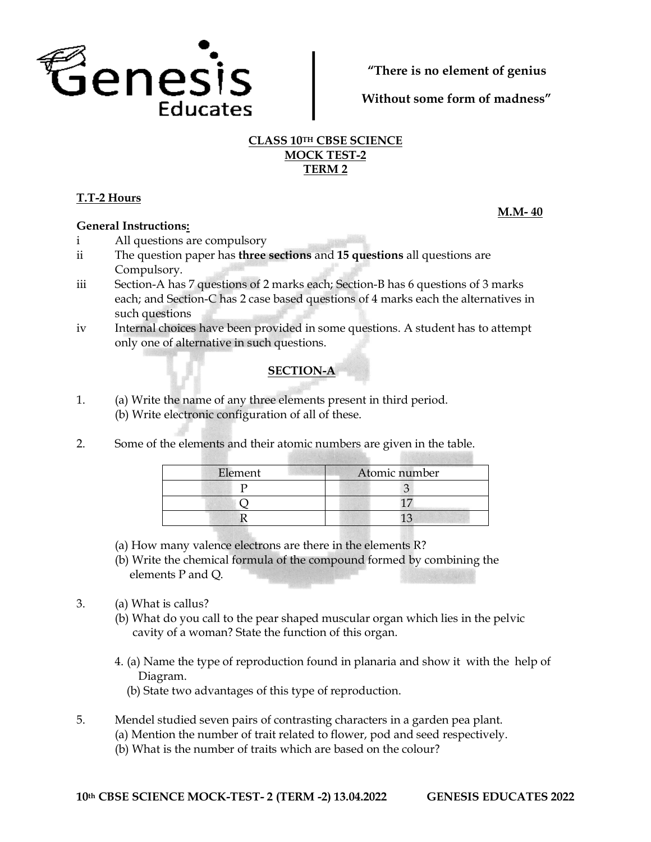

**"There is no element of genius**

**Without some form of madness"**

## **CLASS 10TH CBSE SCIENCE MOCK TEST-2 TERM 2**

# **T.T-2 Hours**

## **General Instructions:**

- i All questions are compulsory
- ii The question paper has **three sections** and **15 questions** all questions are Compulsory.
- iii Section-A has 7 questions of 2 marks each; Section-B has 6 questions of 3 marks each; and Section-C has 2 case based questions of 4 marks each the alternatives in such questions
- iv Internal choices have been provided in some questions. A student has to attempt only one of alternative in such questions.

## **SECTION-A**

- 1. (a) Write the name of any three elements present in third period. (b) Write electronic configuration of all of these.
- 2. Some of the elements and their atomic numbers are given in the table.

| Element | Atomic number |
|---------|---------------|
|         |               |
|         |               |
|         |               |

- (a) How many valence electrons are there in the elements R?
- (b) Write the chemical formula of the compound formed by combining the elements P and Q.
- 3. (a) What is callus?
	- (b) What do you call to the pear shaped muscular organ which lies in the pelvic cavity of a woman? State the function of this organ.
	- 4. (a) Name the type of reproduction found in planaria and show it with the help of Diagram.
		- (b) State two advantages of this type of reproduction.
- 5. Mendel studied seven pairs of contrasting characters in a garden pea plant.
	- (a) Mention the number of trait related to flower, pod and seed respectively.
		- (b) What is the number of traits which are based on the colour?

**M.M- 40**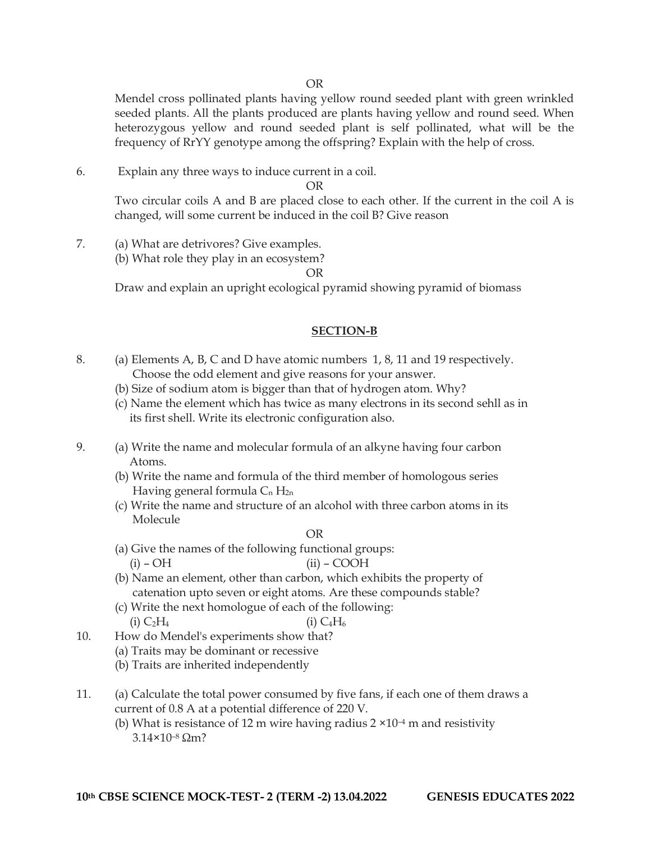Mendel cross pollinated plants having yellow round seeded plant with green wrinkled seeded plants. All the plants produced are plants having yellow and round seed. When heterozygous yellow and round seeded plant is self pollinated, what will be the frequency of RrYY genotype among the offspring? Explain with the help of cross.

6. Explain any three ways to induce current in a coil.

OR

Two circular coils A and B are placed close to each other. If the current in the coil A is changed, will some current be induced in the coil B? Give reason

- 7. (a) What are detrivores? Give examples.
	- (b) What role they play in an ecosystem?

OR

Draw and explain an upright ecological pyramid showing pyramid of biomass

#### **SECTION-B**

- 8. (a) Elements A, B, C and D have atomic numbers 1, 8, 11 and 19 respectively. Choose the odd element and give reasons for your answer.
	- (b) Size of sodium atom is bigger than that of hydrogen atom. Why?
	- (c) Name the element which has twice as many electrons in its second sehll as in its first shell. Write its electronic configuration also.
- 9. (a) Write the name and molecular formula of an alkyne having four carbon Atoms.
	- (b) Write the name and formula of the third member of homologous series Having general formula  $C_n H_{2n}$
	- (c) Write the name and structure of an alcohol with three carbon atoms in its Molecule

OR

- (a) Give the names of the following functional groups:  $(i)$  – OH  $(ii)$  – COOH
- (b) Name an element, other than carbon, which exhibits the property of catenation upto seven or eight atoms. Are these compounds stable?
- (c) Write the next homologue of each of the following: (i)  $C_2H_4$  (i)  $C_4H_6$
- 10. How do Mendel's experiments show that?
	- (a) Traits may be dominant or recessive
	- (b) Traits are inherited independently
- 11. (a) Calculate the total power consumed by five fans, if each one of them draws a current of 0.8 A at a potential difference of 220 V.
	- (b) What is resistance of 12 m wire having radius  $2 \times 10^{-4}$  m and resistivity 3.14×10–<sup>8</sup> Ωm?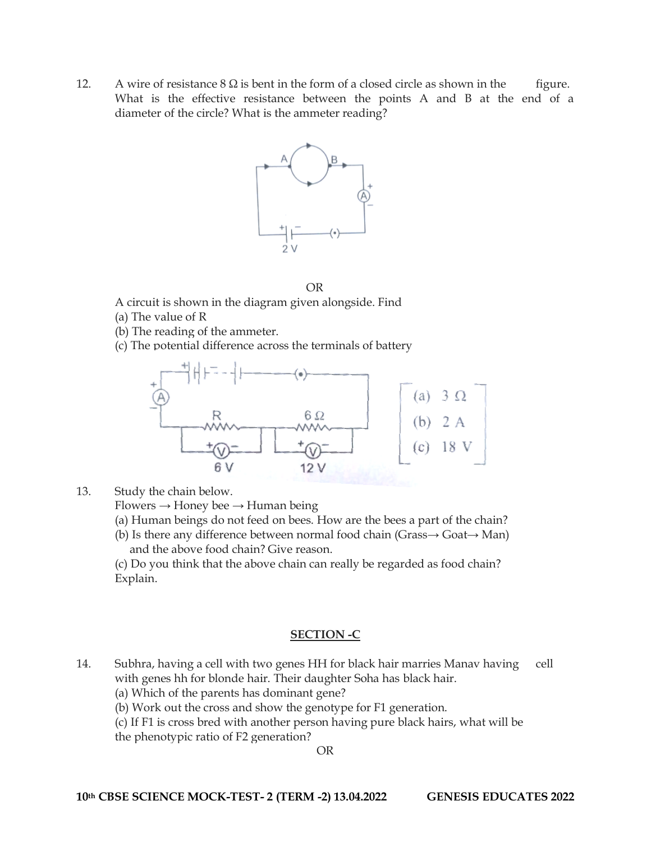12. A wire of resistance  $8 \Omega$  is bent in the form of a closed circle as shown in the figure. What is the effective resistance between the points A and B at the end of a diameter of the circle? What is the ammeter reading?





A circuit is shown in the diagram given alongside. Find

- (a) The value of R
- (b) The reading of the ammeter.
- (c) The potential difference across the terminals of battery



13. Study the chain below.

 $Flowers \rightarrow Honey$  bee  $\rightarrow Human$  being

(a) Human beings do not feed on bees. How are the bees a part of the chain?

(b) Is there any difference between normal food chain (Grass $\rightarrow$  Goat $\rightarrow$  Man) and the above food chain? Give reason.

(c) Do you think that the above chain can really be regarded as food chain? Explain.

## **SECTION -C**

- 14. Subhra, having a cell with two genes HH for black hair marries Manav having cell with genes hh for blonde hair. Their daughter Soha has black hair.
	- (a) Which of the parents has dominant gene?
	- (b) Work out the cross and show the genotype for F1 generation.

(c) If F1 is cross bred with another person having pure black hairs, what will be

the phenotypic ratio of F2 generation?

OR